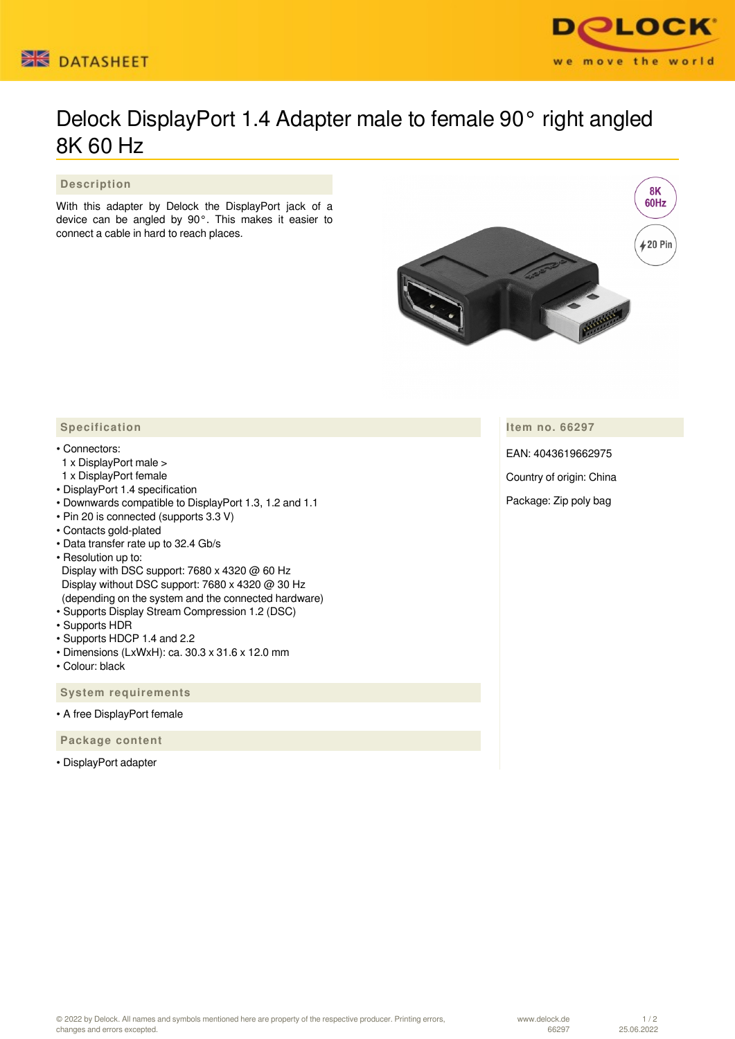



## Delock DisplayPort 1.4 Adapter male to female 90° right angled 8K 60 Hz

 **Description**

With this adapter by Delock the DisplayPort jack of a device can be angled by 90°. This makes it easier to connect a cable in hard to reach places.



**Item no. 66297**

EAN: 4043619662975

Country of origin: China

Package: Zip poly bag

## **Specification**

## • Connectors:

- 1 x DisplayPort male >
- 1 x DisplayPort female
- DisplayPort 1.4 specification
- Downwards compatible to DisplayPort 1.3, 1.2 and 1.1
- Pin 20 is connected (supports 3.3 V)
- Contacts gold-plated
- Data transfer rate up to 32.4 Gb/s
- Resolution up to:
- Display with DSC support: 7680 x 4320 @ 60 Hz Display without DSC support: 7680 x 4320 @ 30 Hz (depending on the system and the connected hardware)
- Supports Display Stream Compression 1.2 (DSC)
- Supports HDR
- Supports HDCP 1.4 and 2.2
- Dimensions (LxWxH): ca. 30.3 x 31.6 x 12.0 mm
- Colour: black

 **System requirements**

• A free DisplayPort female

 **Package content**

• DisplayPort adapter